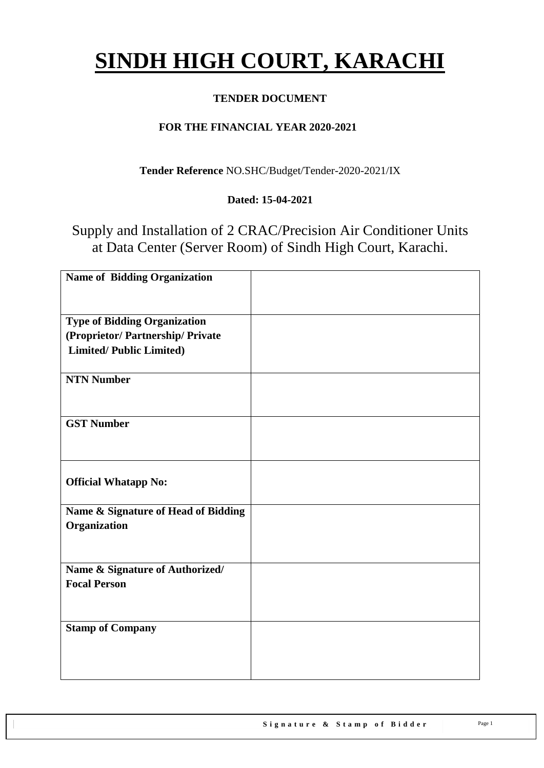# **SINDH HIGH COURT, KARACHI**

## **TENDER DOCUMENT**

## **FOR THE FINANCIAL YEAR 2020-2021**

**Tender Reference** NO.SHC/Budget/Tender-2020-2021/IX

## **Dated: 15-04-2021**

Supply and Installation of 2 CRAC/Precision Air Conditioner Units at Data Center (Server Room) of Sindh High Court, Karachi.

| <b>Name of Bidding Organization</b> |  |
|-------------------------------------|--|
|                                     |  |
|                                     |  |
| <b>Type of Bidding Organization</b> |  |
| (Proprietor/ Partnership/ Private   |  |
| <b>Limited/Public Limited)</b>      |  |
|                                     |  |
| <b>NTN Number</b>                   |  |
|                                     |  |
|                                     |  |
| <b>GST Number</b>                   |  |
|                                     |  |
|                                     |  |
|                                     |  |
| <b>Official Whatapp No:</b>         |  |
|                                     |  |
| Name & Signature of Head of Bidding |  |
| Organization                        |  |
|                                     |  |
| Name & Signature of Authorized/     |  |
| <b>Focal Person</b>                 |  |
|                                     |  |
|                                     |  |
| <b>Stamp of Company</b>             |  |
|                                     |  |
|                                     |  |
|                                     |  |
|                                     |  |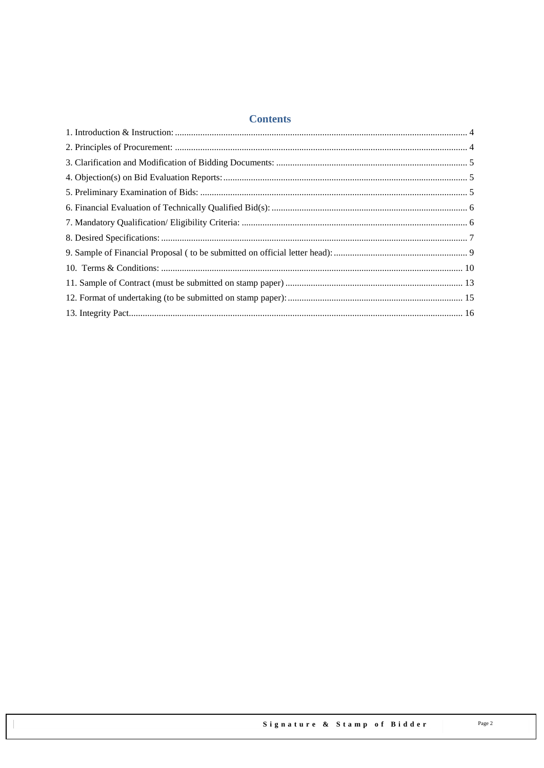#### **Contents**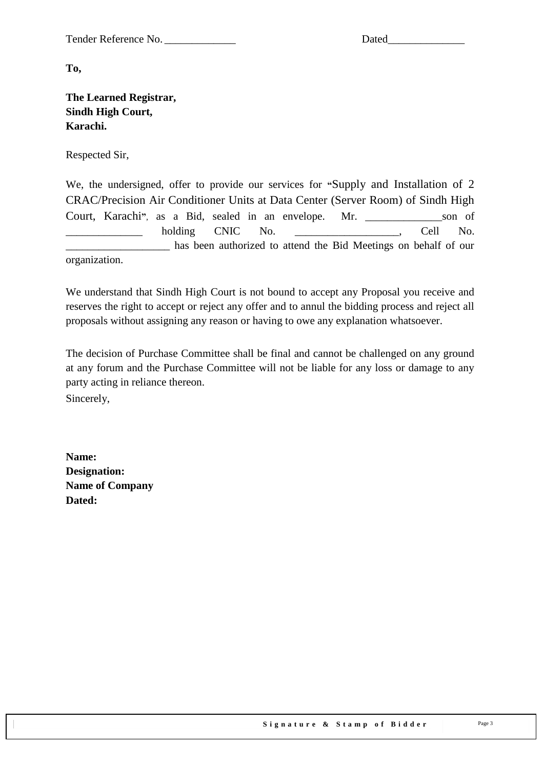Tender Reference No. \_\_\_\_\_\_\_\_\_\_\_\_\_ Dated\_\_\_\_\_\_\_\_\_\_\_\_\_\_

**To,** 

#### **The Learned Registrar, Sindh High Court, Karachi.**

Respected Sir,

We, the undersigned, offer to provide our services for **"**Supply and Installation of 2 CRAC/Precision Air Conditioner Units at Data Center (Server Room) of Sindh High Court, Karachi**"**, as a Bid, sealed in an envelope. Mr. \_\_\_\_\_\_\_\_\_\_\_\_\_\_son of holding CNIC No.  $\qquad \qquad$  Cell No. has been authorized to attend the Bid Meetings on behalf of our organization.

We understand that Sindh High Court is not bound to accept any Proposal you receive and reserves the right to accept or reject any offer and to annul the bidding process and reject all proposals without assigning any reason or having to owe any explanation whatsoever.

The decision of Purchase Committee shall be final and cannot be challenged on any ground at any forum and the Purchase Committee will not be liable for any loss or damage to any party acting in reliance thereon.

Sincerely,

**Name: Designation: Name of Company Dated:**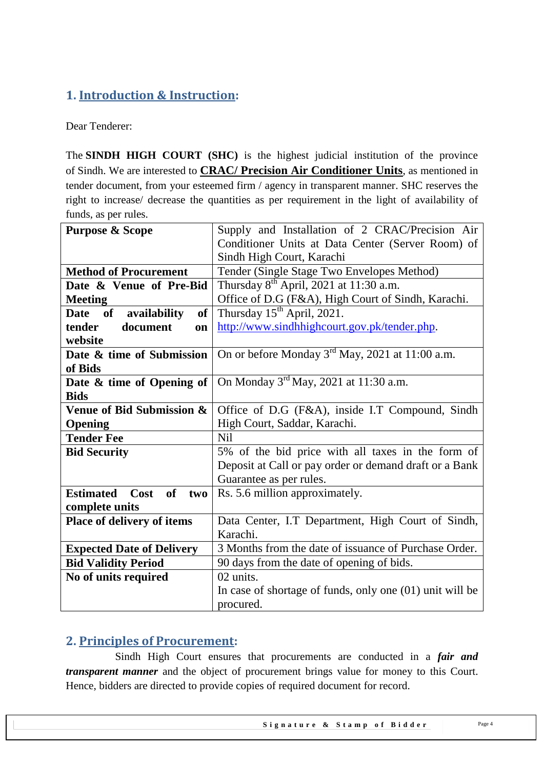# <span id="page-3-0"></span>**1. Introduction & Instruction:**

Dear Tenderer:

The **SINDH HIGH COURT (SHC)** is the highest judicial institution of the province of [Sindh.](https://en.wikipedia.org/wiki/Sindh) We are interested to **CRAC/ Precision Air Conditioner Units**, as mentioned in tender document, from your esteemed firm / agency in transparent manner. SHC reserves the right to increase/ decrease the quantities as per requirement in the light of availability of funds, as per rules.

| <b>Purpose &amp; Scope</b>            | Supply and Installation of 2 CRAC/Precision Air             |  |
|---------------------------------------|-------------------------------------------------------------|--|
|                                       | Conditioner Units at Data Center (Server Room) of           |  |
|                                       | Sindh High Court, Karachi                                   |  |
| <b>Method of Procurement</b>          | Tender (Single Stage Two Envelopes Method)                  |  |
| Date & Venue of Pre-Bid               | Thursday 8 <sup>th</sup> April, 2021 at 11:30 a.m.          |  |
| <b>Meeting</b>                        | Office of D.G (F&A), High Court of Sindh, Karachi.          |  |
| of<br>availability<br>Date of         | Thursday 15 <sup>th</sup> April, 2021.                      |  |
| document<br>tender<br>on              | http://www.sindhhighcourt.gov.pk/tender.php.                |  |
| website                               |                                                             |  |
| Date & time of Submission             | On or before Monday $3^{\text{rd}}$ May, 2021 at 11:00 a.m. |  |
| of Bids                               |                                                             |  |
| Date & time of Opening of             | On Monday $3^{\text{rd}}$ May, 2021 at 11:30 a.m.           |  |
| <b>Bids</b>                           |                                                             |  |
| Venue of Bid Submission &             | Office of D.G (F&A), inside I.T Compound, Sindh             |  |
| Opening                               | High Court, Saddar, Karachi.                                |  |
| <b>Tender Fee</b>                     | N <sub>il</sub>                                             |  |
| <b>Bid Security</b>                   | 5% of the bid price with all taxes in the form of           |  |
|                                       | Deposit at Call or pay order or demand draft or a Bank      |  |
|                                       | Guarantee as per rules.                                     |  |
| Cost<br>of<br><b>Estimated</b><br>two | Rs. 5.6 million approximately.                              |  |
| complete units                        |                                                             |  |
| <b>Place of delivery of items</b>     | Data Center, I.T Department, High Court of Sindh,           |  |
|                                       | Karachi.                                                    |  |
| <b>Expected Date of Delivery</b>      | 3 Months from the date of issuance of Purchase Order.       |  |
| <b>Bid Validity Period</b>            | 90 days from the date of opening of bids.                   |  |
| No of units required                  | 02 units.                                                   |  |
|                                       | In case of shortage of funds, only one $(01)$ unit will be  |  |
|                                       | procured.                                                   |  |

### <span id="page-3-1"></span>**2. Principles of Procurement:**

 Sindh High Court ensures that procurements are conducted in a *fair and transparent manner* and the object of procurement brings value for money to this Court. Hence, bidders are directed to provide copies of required document for record.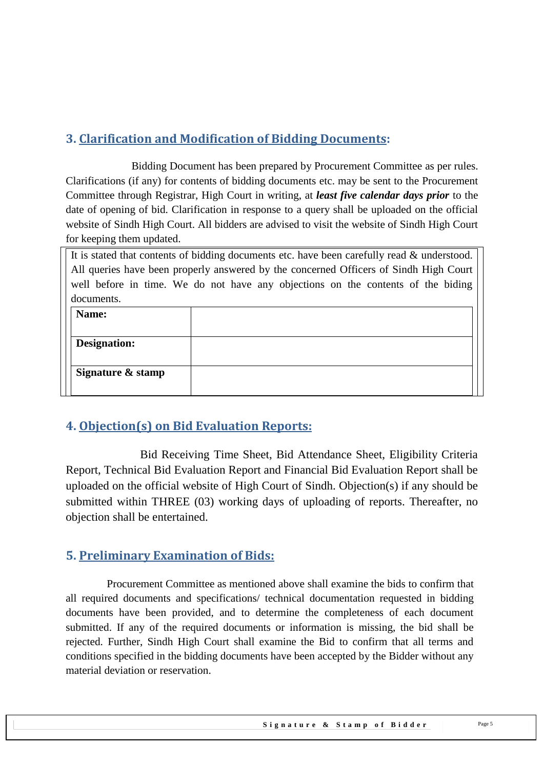# <span id="page-4-0"></span>**3. Clarification and Modification of Bidding Documents:**

Bidding Document has been prepared by Procurement Committee as per rules. Clarifications (if any) for contents of bidding documents etc. may be sent to the Procurement Committee through Registrar, High Court in writing, at *least five calendar days prior* to the date of opening of bid. Clarification in response to a query shall be uploaded on the official website of Sindh High Court. All bidders are advised to visit the website of Sindh High Court for keeping them updated.

It is stated that contents of bidding documents etc. have been carefully read & understood. All queries have been properly answered by the concerned Officers of Sindh High Court well before in time. We do not have any objections on the contents of the biding documents.

| Name:               |  |
|---------------------|--|
| <b>Designation:</b> |  |
| Signature & stamp   |  |
|                     |  |

## <span id="page-4-1"></span>**4. Objection(s) on Bid Evaluation Reports:**

 Bid Receiving Time Sheet, Bid Attendance Sheet, Eligibility Criteria Report, Technical Bid Evaluation Report and Financial Bid Evaluation Report shall be uploaded on the official website of High Court of Sindh. Objection(s) if any should be submitted within THREE (03) working days of uploading of reports. Thereafter, no objection shall be entertained.

## <span id="page-4-2"></span>**5. Preliminary Examination of Bids:**

 Procurement Committee as mentioned above shall examine the bids to confirm that all required documents and specifications/ technical documentation requested in bidding documents have been provided, and to determine the completeness of each document submitted. If any of the required documents or information is missing, the bid shall be rejected. Further, Sindh High Court shall examine the Bid to confirm that all terms and conditions specified in the bidding documents have been accepted by the Bidder without any material deviation or reservation.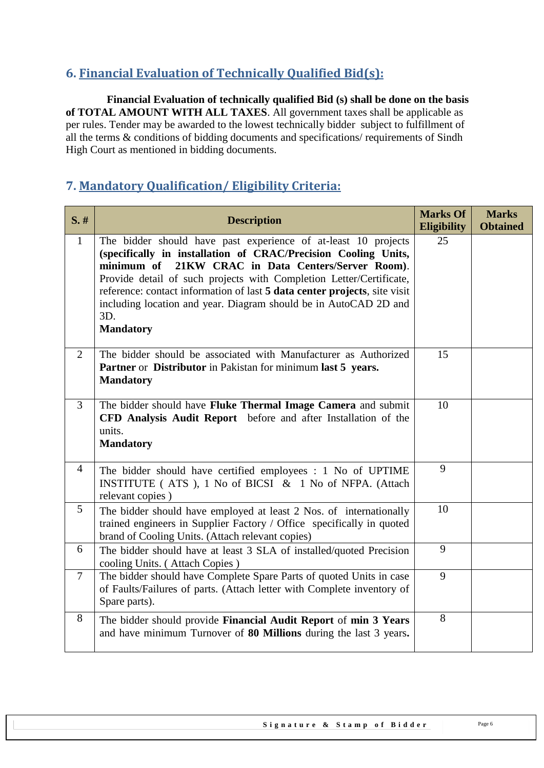# <span id="page-5-0"></span>**6. Financial Evaluation of Technically Qualified Bid(s):**

 **Financial Evaluation of technically qualified Bid (s) shall be done on the basis of TOTAL AMOUNT WITH ALL TAXES**. All government taxes shall be applicable as per rules. Tender may be awarded to the lowest technically bidder subject to fulfillment of all the terms & conditions of bidding documents and specifications/ requirements of Sindh High Court as mentioned in bidding documents.

# <span id="page-5-1"></span>**7. Mandatory Qualification/ Eligibility Criteria:**

| S.#             | <b>Description</b>                                                                                                                                                                                                                                                                                                                                                                                                                           | <b>Marks Of</b><br><b>Eligibility</b> | <b>Marks</b><br><b>Obtained</b> |
|-----------------|----------------------------------------------------------------------------------------------------------------------------------------------------------------------------------------------------------------------------------------------------------------------------------------------------------------------------------------------------------------------------------------------------------------------------------------------|---------------------------------------|---------------------------------|
| $\mathbf{1}$    | The bidder should have past experience of at-least 10 projects<br>(specifically in installation of CRAC/Precision Cooling Units,<br>21KW CRAC in Data Centers/Server Room).<br>minimum of<br>Provide detail of such projects with Completion Letter/Certificate,<br>reference: contact information of last 5 data center projects, site visit<br>including location and year. Diagram should be in AutoCAD 2D and<br>3D.<br><b>Mandatory</b> | 25                                    |                                 |
| $\overline{2}$  | The bidder should be associated with Manufacturer as Authorized<br>Partner or Distributor in Pakistan for minimum last 5 years.<br><b>Mandatory</b>                                                                                                                                                                                                                                                                                          | 15                                    |                                 |
| 3               | The bidder should have Fluke Thermal Image Camera and submit<br>CFD Analysis Audit Report before and after Installation of the<br>units.<br><b>Mandatory</b>                                                                                                                                                                                                                                                                                 | 10                                    |                                 |
| $\overline{4}$  | The bidder should have certified employees : 1 No of UPTIME<br>INSTITUTE (ATS), 1 No of BICSI & 1 No of NFPA. (Attach<br>relevant copies)                                                                                                                                                                                                                                                                                                    | 9                                     |                                 |
| $5\overline{)}$ | The bidder should have employed at least 2 Nos. of internationally<br>trained engineers in Supplier Factory / Office specifically in quoted<br>brand of Cooling Units. (Attach relevant copies)                                                                                                                                                                                                                                              | 10                                    |                                 |
| 6               | The bidder should have at least 3 SLA of installed/quoted Precision<br>cooling Units. (Attach Copies)                                                                                                                                                                                                                                                                                                                                        | 9                                     |                                 |
| $\tau$          | The bidder should have Complete Spare Parts of quoted Units in case<br>of Faults/Failures of parts. (Attach letter with Complete inventory of<br>Spare parts).                                                                                                                                                                                                                                                                               | 9                                     |                                 |
| 8               | The bidder should provide Financial Audit Report of min 3 Years<br>and have minimum Turnover of 80 Millions during the last 3 years.                                                                                                                                                                                                                                                                                                         | 8                                     |                                 |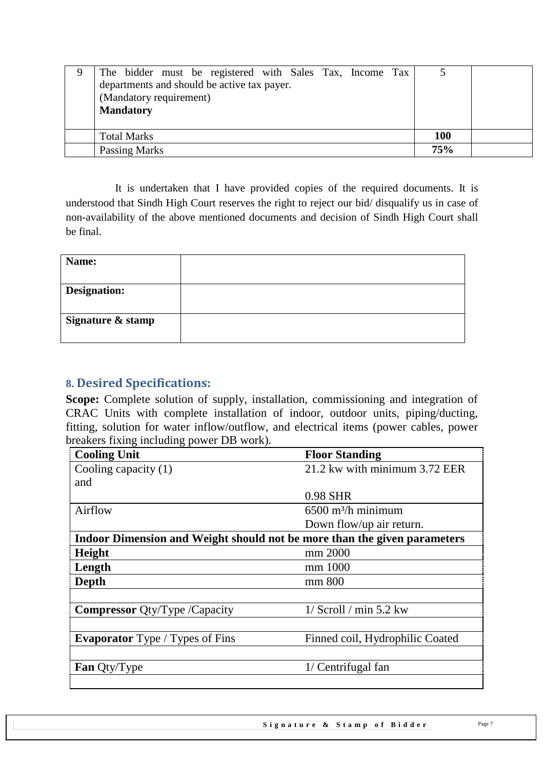| The bidder must be registered with Sales Tax, Income Tax |            |  |
|----------------------------------------------------------|------------|--|
| departments and should be active tax payer.              |            |  |
| (Mandatory requirement)                                  |            |  |
| <b>Mandatory</b>                                         |            |  |
|                                                          |            |  |
| <b>Total Marks</b>                                       | <b>100</b> |  |
| Passing Marks                                            | <b>75%</b> |  |

 It is undertaken that I have provided copies of the required documents. It is understood that Sindh High Court reserves the right to reject our bid/ disqualify us in case of non-availability of the above mentioned documents and decision of Sindh High Court shall be final.

| Name:               |  |
|---------------------|--|
| <b>Designation:</b> |  |
| Signature & stamp   |  |

## <span id="page-6-0"></span>**8. Desired Specifications:**

**Scope:** Complete solution of supply, installation, commissioning and integration of CRAC Units with complete installation of indoor, outdoor units, piping/ducting, fitting, solution for water inflow/outflow, and electrical items (power cables, power breakers fixing including power DB work).

| <b>Cooling Unit</b>                                                      | <b>Floor Standing</b>            |  |
|--------------------------------------------------------------------------|----------------------------------|--|
| Cooling capacity $(1)$                                                   | 21.2 kw with minimum 3.72 EER    |  |
| and                                                                      |                                  |  |
|                                                                          | 0.98 SHR                         |  |
| Airflow                                                                  | $6500$ m <sup>3</sup> /h minimum |  |
|                                                                          | Down flow/up air return.         |  |
| Indoor Dimension and Weight should not be more than the given parameters |                                  |  |
| Height                                                                   | mm 2000                          |  |
| Length                                                                   | mm 1000                          |  |
| Depth                                                                    | mm 800                           |  |
|                                                                          |                                  |  |
| <b>Compressor</b> Qty/Type /Capacity                                     | $1/$ Scroll / min 5.2 kw         |  |
|                                                                          |                                  |  |
| <b>Evaporator</b> Type / Types of Fins                                   | Finned coil, Hydrophilic Coated  |  |
|                                                                          |                                  |  |
| <b>Fan Oty/Type</b>                                                      | 1/ Centrifugal fan               |  |
|                                                                          |                                  |  |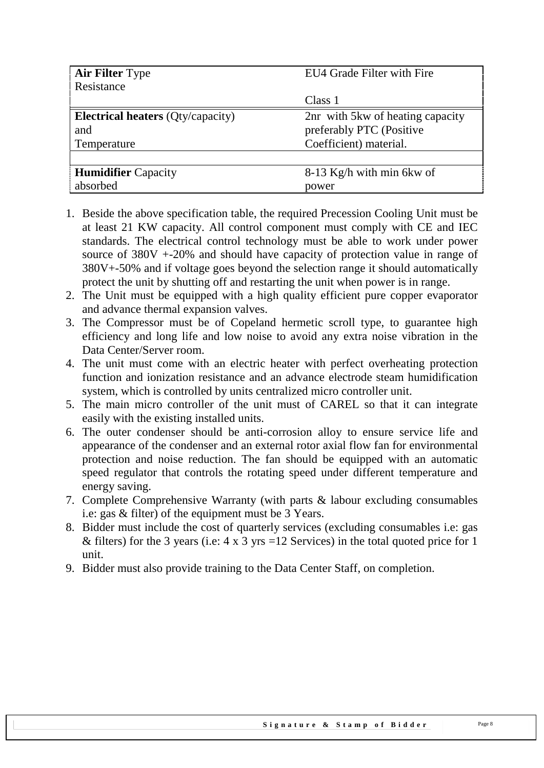| <b>Air Filter Type</b><br>EU4 Grade Filter with Fire |                                   |
|------------------------------------------------------|-----------------------------------|
| Resistance                                           |                                   |
|                                                      | Class 1                           |
| <b>Electrical heaters</b> (Qty/capacity)             | 2nr with 5 kw of heating capacity |
| and                                                  | preferably PTC (Positive          |
| Temperature                                          | Coefficient) material.            |
|                                                      |                                   |
| <b>Humidifier Capacity</b>                           | $8-13$ Kg/h with min 6kw of       |
| absorbed                                             | power                             |

- 1. Beside the above specification table, the required Precession Cooling Unit must be at least 21 KW capacity. All control component must comply with CE and IEC standards. The electrical control technology must be able to work under power source of 380V +-20% and should have capacity of protection value in range of 380V+-50% and if voltage goes beyond the selection range it should automatically protect the unit by shutting off and restarting the unit when power is in range.
- 2. The Unit must be equipped with a high quality efficient pure copper evaporator and advance thermal expansion valves.
- 3. The Compressor must be of Copeland hermetic scroll type, to guarantee high efficiency and long life and low noise to avoid any extra noise vibration in the Data Center/Server room.
- 4. The unit must come with an electric heater with perfect overheating protection function and ionization resistance and an advance electrode steam humidification system, which is controlled by units centralized micro controller unit.
- 5. The main micro controller of the unit must of CAREL so that it can integrate easily with the existing installed units.
- 6. The outer condenser should be anti-corrosion alloy to ensure service life and appearance of the condenser and an external rotor axial flow fan for environmental protection and noise reduction. The fan should be equipped with an automatic speed regulator that controls the rotating speed under different temperature and energy saving.
- 7. Complete Comprehensive Warranty (with parts & labour excluding consumables i.e: gas & filter) of the equipment must be 3 Years.
- 8. Bidder must include the cost of quarterly services (excluding consumables i.e: gas & filters) for the 3 years (i.e:  $4 \times 3$  yrs = 12 Services) in the total quoted price for 1 unit.
- 9. Bidder must also provide training to the Data Center Staff, on completion.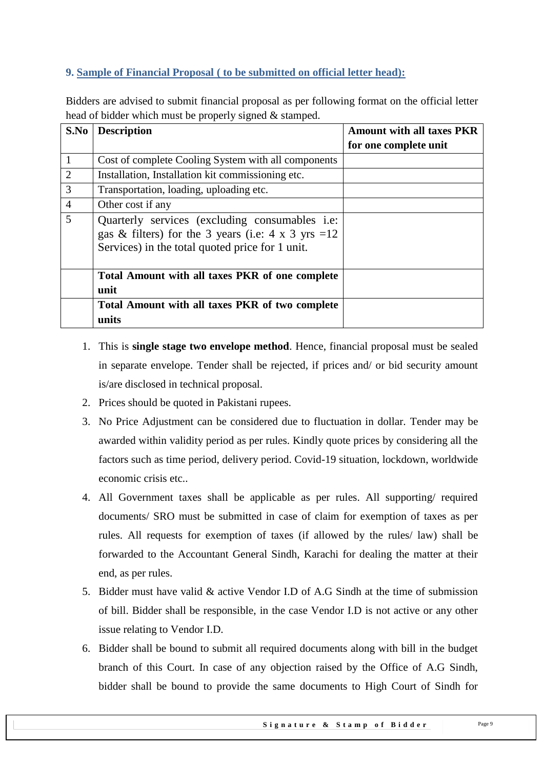## <span id="page-8-0"></span>**9. Sample of Financial Proposal ( to be submitted on official letter head):**

Bidders are advised to submit financial proposal as per following format on the official letter head of bidder which must be properly signed & stamped.

| S.No           | <b>Description</b>                                                                                                                                                       | <b>Amount with all taxes PKR</b> |
|----------------|--------------------------------------------------------------------------------------------------------------------------------------------------------------------------|----------------------------------|
|                |                                                                                                                                                                          | for one complete unit            |
|                | Cost of complete Cooling System with all components                                                                                                                      |                                  |
| $\overline{2}$ | Installation, Installation kit commissioning etc.                                                                                                                        |                                  |
| 3              | Transportation, loading, uploading etc.                                                                                                                                  |                                  |
| $\overline{4}$ | Other cost if any                                                                                                                                                        |                                  |
| 5              | Quarterly services (excluding consumables <i>i.e.</i> )<br>gas & filters) for the 3 years (i.e: $4 \times 3$ yrs = 12<br>Services) in the total quoted price for 1 unit. |                                  |
|                | Total Amount with all taxes PKR of one complete<br>unit                                                                                                                  |                                  |
|                | Total Amount with all taxes PKR of two complete<br>units                                                                                                                 |                                  |

- 1. This is **single stage two envelope method**. Hence, financial proposal must be sealed in separate envelope. Tender shall be rejected, if prices and/ or bid security amount is/are disclosed in technical proposal.
- 2. Prices should be quoted in Pakistani rupees.
- 3. No Price Adjustment can be considered due to fluctuation in dollar. Tender may be awarded within validity period as per rules. Kindly quote prices by considering all the factors such as time period, delivery period. Covid-19 situation, lockdown, worldwide economic crisis etc..
- 4. All Government taxes shall be applicable as per rules. All supporting/ required documents/ SRO must be submitted in case of claim for exemption of taxes as per rules. All requests for exemption of taxes (if allowed by the rules/ law) shall be forwarded to the Accountant General Sindh, Karachi for dealing the matter at their end, as per rules.
- 5. Bidder must have valid & active Vendor I.D of A.G Sindh at the time of submission of bill. Bidder shall be responsible, in the case Vendor I.D is not active or any other issue relating to Vendor I.D.
- 6. Bidder shall be bound to submit all required documents along with bill in the budget branch of this Court. In case of any objection raised by the Office of A.G Sindh, bidder shall be bound to provide the same documents to High Court of Sindh for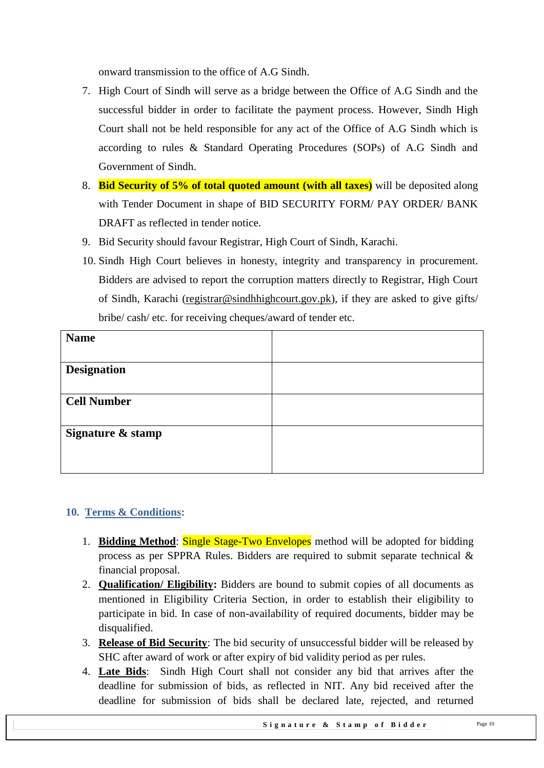onward transmission to the office of A.G Sindh.

- 7. High Court of Sindh will serve as a bridge between the Office of A.G Sindh and the successful bidder in order to facilitate the payment process. However, Sindh High Court shall not be held responsible for any act of the Office of A.G Sindh which is according to rules & Standard Operating Procedures (SOPs) of A.G Sindh and Government of Sindh.
- 8. **Bid Security of 5% of total quoted amount (with all taxes)** will be deposited along with Tender Document in shape of BID SECURITY FORM/ PAY ORDER/ BANK DRAFT as reflected in tender notice.
- 9. Bid Security should favour Registrar, High Court of Sindh, Karachi.
- 10. Sindh High Court believes in honesty, integrity and transparency in procurement. Bidders are advised to report the corruption matters directly to Registrar, High Court of Sindh, Karachi [\(registrar@sindhhighcourt.gov.pk\)](mailto:registrar@sindhhighcourt.gov.pk), if they are asked to give gifts/ bribe/ cash/ etc. for receiving cheques/award of tender etc.

| <b>Name</b>        |  |
|--------------------|--|
|                    |  |
| <b>Designation</b> |  |
|                    |  |
| <b>Cell Number</b> |  |
|                    |  |
| Signature & stamp  |  |
|                    |  |
|                    |  |

#### <span id="page-9-0"></span>**10. Terms & Conditions:**

- 1. **Bidding Method**: Single Stage-Two Envelopes method will be adopted for bidding process as per SPPRA Rules. Bidders are required to submit separate technical & financial proposal.
- 2. **Qualification/ Eligibility:** Bidders are bound to submit copies of all documents as mentioned in Eligibility Criteria Section, in order to establish their eligibility to participate in bid. In case of non-availability of required documents, bidder may be disqualified.
- 3. **Release of Bid Security**: The bid security of unsuccessful bidder will be released by SHC after award of work or after expiry of bid validity period as per rules.
- 4. **Late Bids**: Sindh High Court shall not consider any bid that arrives after the deadline for submission of bids, as reflected in NIT. Any bid received after the deadline for submission of bids shall be declared late, rejected, and returned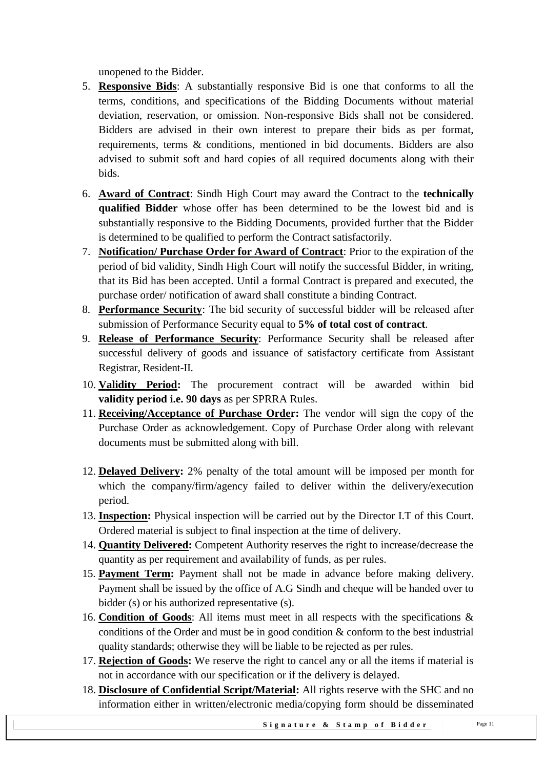unopened to the Bidder.

- 5. **Responsive Bids**: A substantially responsive Bid is one that conforms to all the terms, conditions, and specifications of the Bidding Documents without material deviation, reservation, or omission. Non-responsive Bids shall not be considered. Bidders are advised in their own interest to prepare their bids as per format, requirements, terms & conditions, mentioned in bid documents. Bidders are also advised to submit soft and hard copies of all required documents along with their bids.
- 6. **Award of Contract**: Sindh High Court may award the Contract to the **technically qualified Bidder** whose offer has been determined to be the lowest bid and is substantially responsive to the Bidding Documents, provided further that the Bidder is determined to be qualified to perform the Contract satisfactorily.
- 7. **Notification/ Purchase Order for Award of Contract**: Prior to the expiration of the period of bid validity, Sindh High Court will notify the successful Bidder, in writing, that its Bid has been accepted. Until a formal Contract is prepared and executed, the purchase order/ notification of award shall constitute a binding Contract.
- 8. **Performance Security**: The bid security of successful bidder will be released after submission of Performance Security equal to **5% of total cost of contract**.
- 9. **Release of Performance Security**: Performance Security shall be released after successful delivery of goods and issuance of satisfactory certificate from Assistant Registrar, Resident-II.
- 10. **Validity Period:** The procurement contract will be awarded within bid **validity period i.e. 90 days** as per SPRRA Rules.
- 11. **Receiving/Acceptance of Purchase Order:** The vendor will sign the copy of the Purchase Order as acknowledgement. Copy of Purchase Order along with relevant documents must be submitted along with bill.
- 12. **Delayed Delivery:** 2% penalty of the total amount will be imposed per month for which the company/firm/agency failed to deliver within the delivery/execution period.
- 13. **Inspection:** Physical inspection will be carried out by the Director I.T of this Court. Ordered material is subject to final inspection at the time of delivery.
- 14. **Quantity Delivered:** Competent Authority reserves the right to increase/decrease the quantity as per requirement and availability of funds, as per rules.
- 15. **Payment Term:** Payment shall not be made in advance before making delivery. Payment shall be issued by the office of A.G Sindh and cheque will be handed over to bidder (s) or his authorized representative (s).
- 16. **Condition of Goods**: All items must meet in all respects with the specifications & conditions of the Order and must be in good condition & conform to the best industrial quality standards; otherwise they will be liable to be rejected as per rules.
- 17. **Rejection of Goods:** We reserve the right to cancel any or all the items if material is not in accordance with our specification or if the delivery is delayed.
- 18. **Disclosure of Confidential Script/Material:** All rights reserve with the SHC and no information either in written/electronic media/copying form should be disseminated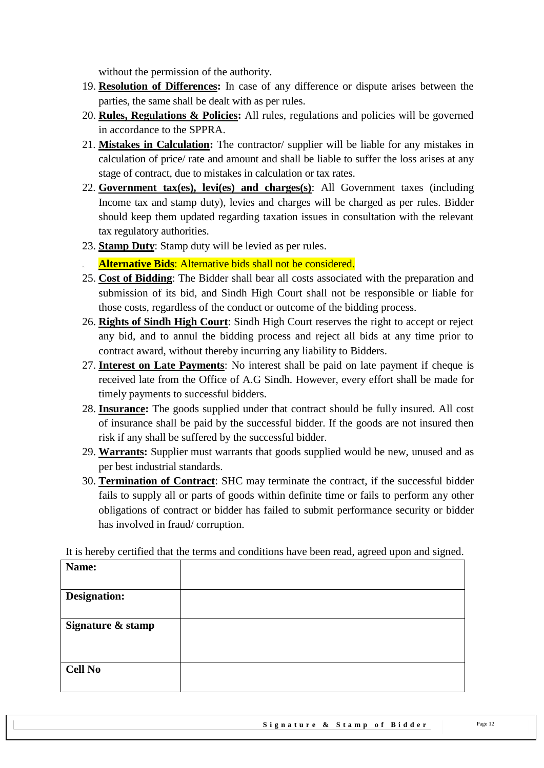without the permission of the authority.

- 19. **Resolution of Differences:** In case of any difference or dispute arises between the parties, the same shall be dealt with as per rules.
- 20. **Rules, Regulations & Policies:** All rules, regulations and policies will be governed in accordance to the SPPRA.
- 21. **Mistakes in Calculation:** The contractor/ supplier will be liable for any mistakes in calculation of price/ rate and amount and shall be liable to suffer the loss arises at any stage of contract, due to mistakes in calculation or tax rates.
- 22. **Government tax(es), levi(es) and charges(s)**: All Government taxes (including Income tax and stamp duty), levies and charges will be charged as per rules. Bidder should keep them updated regarding taxation issues in consultation with the relevant tax regulatory authorities.
- 23. **Stamp Duty**: Stamp duty will be levied as per rules.
- Alternative Bids: Alternative bids shall not be considered.
- 25. **Cost of Bidding**: The Bidder shall bear all costs associated with the preparation and submission of its bid, and Sindh High Court shall not be responsible or liable for those costs, regardless of the conduct or outcome of the bidding process.
- 26. **Rights of Sindh High Court**: Sindh High Court reserves the right to accept or reject any bid, and to annul the bidding process and reject all bids at any time prior to contract award, without thereby incurring any liability to Bidders.
- 27. **Interest on Late Payments**: No interest shall be paid on late payment if cheque is received late from the Office of A.G Sindh. However, every effort shall be made for timely payments to successful bidders.
- 28. **Insurance:** The goods supplied under that contract should be fully insured. All cost of insurance shall be paid by the successful bidder. If the goods are not insured then risk if any shall be suffered by the successful bidder.
- 29. **Warrants:** Supplier must warrants that goods supplied would be new, unused and as per best industrial standards.
- 30. **Termination of Contract**: SHC may terminate the contract, if the successful bidder fails to supply all or parts of goods within definite time or fails to perform any other obligations of contract or bidder has failed to submit performance security or bidder has involved in fraud/ corruption.

It is hereby certified that the terms and conditions have been read, agreed upon and signed.

| Name:               |  |
|---------------------|--|
|                     |  |
| <b>Designation:</b> |  |
|                     |  |
| Signature & stamp   |  |
|                     |  |
|                     |  |
| <b>Cell No</b>      |  |
|                     |  |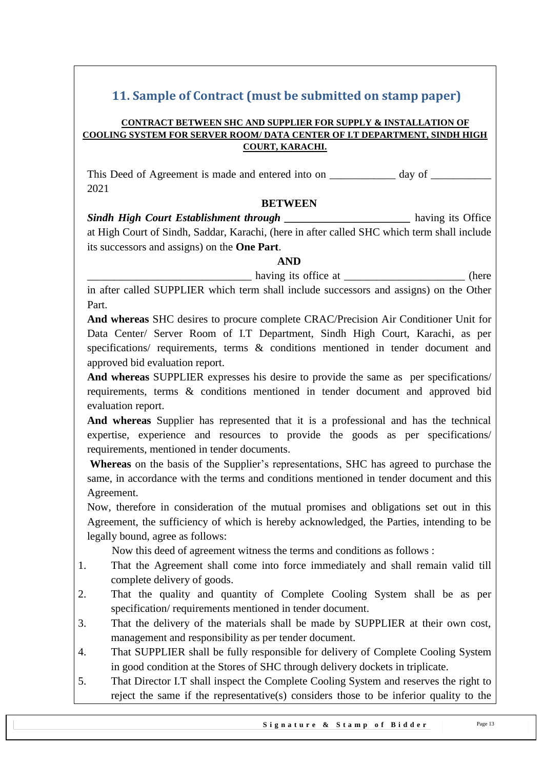# <span id="page-12-0"></span>**11. Sample of Contract (must be submitted on stamp paper)**

#### **CONTRACT BETWEEN SHC AND SUPPLIER FOR SUPPLY & INSTALLATION OF COOLING SYSTEM FOR SERVER ROOM/ DATA CENTER OF I.T DEPARTMENT, SINDH HIGH COURT, KARACHI.**

This Deed of Agreement is made and entered into on \_\_\_\_\_\_\_\_\_\_\_\_\_ day of \_ 2021

#### **BETWEEN**

**Sindh High Court Establishment through the set of the set of the set of the set of the set of the set of the set of the set of the set of the set of the set of the set of the set of the set of the set of the set of the se** at High Court of Sindh, Saddar, Karachi, (here in after called SHC which term shall include its successors and assigns) on the **One Part**.

#### **AND**

having its office at  $\qquad \qquad$  (here

in after called SUPPLIER which term shall include successors and assigns) on the Other Part.

**And whereas** SHC desires to procure complete CRAC/Precision Air Conditioner Unit for Data Center/ Server Room of I.T Department, Sindh High Court, Karachi, as per specifications/ requirements, terms & conditions mentioned in tender document and approved bid evaluation report.

**And whereas** SUPPLIER expresses his desire to provide the same as per specifications/ requirements, terms & conditions mentioned in tender document and approved bid evaluation report.

**And whereas** Supplier has represented that it is a professional and has the technical expertise, experience and resources to provide the goods as per specifications/ requirements, mentioned in tender documents.

**Whereas** on the basis of the Supplier's representations, SHC has agreed to purchase the same, in accordance with the terms and conditions mentioned in tender document and this Agreement.

Now, therefore in consideration of the mutual promises and obligations set out in this Agreement, the sufficiency of which is hereby acknowledged, the Parties, intending to be legally bound, agree as follows:

Now this deed of agreement witness the terms and conditions as follows :

- 1. That the Agreement shall come into force immediately and shall remain valid till complete delivery of goods.
- 2. That the quality and quantity of Complete Cooling System shall be as per specification/ requirements mentioned in tender document.
- 3. That the delivery of the materials shall be made by SUPPLIER at their own cost, management and responsibility as per tender document.
- 4. That SUPPLIER shall be fully responsible for delivery of Complete Cooling System in good condition at the Stores of SHC through delivery dockets in triplicate.
- 5. That Director I.T shall inspect the Complete Cooling System and reserves the right to reject the same if the representative(s) considers those to be inferior quality to the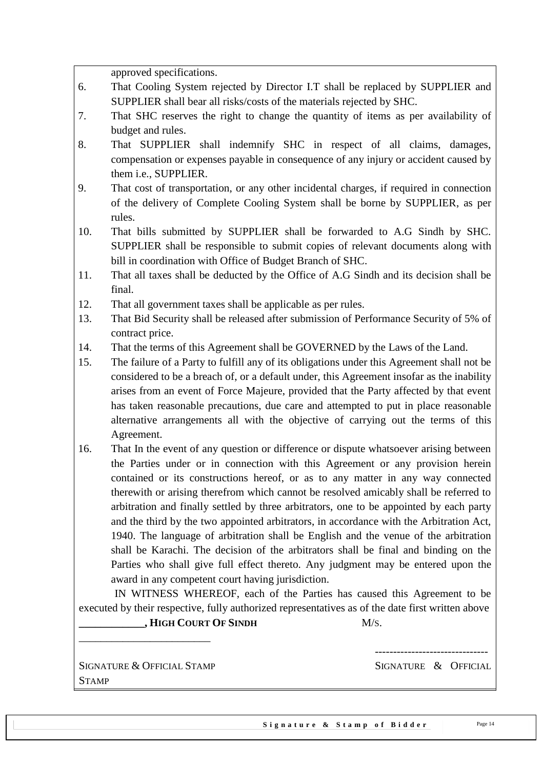approved specifications.

- 6. That Cooling System rejected by Director I.T shall be replaced by SUPPLIER and SUPPLIER shall bear all risks/costs of the materials rejected by SHC.
- 7. That SHC reserves the right to change the quantity of items as per availability of budget and rules.
- 8. That SUPPLIER shall indemnify SHC in respect of all claims, damages, compensation or expenses payable in consequence of any injury or accident caused by them i.e., SUPPLIER.
- 9. That cost of transportation, or any other incidental charges, if required in connection of the delivery of Complete Cooling System shall be borne by SUPPLIER, as per rules.
- 10. That bills submitted by SUPPLIER shall be forwarded to A.G Sindh by SHC. SUPPLIER shall be responsible to submit copies of relevant documents along with bill in coordination with Office of Budget Branch of SHC.
- 11. That all taxes shall be deducted by the Office of A.G Sindh and its decision shall be final.
- 12. That all government taxes shall be applicable as per rules.
- 13. That Bid Security shall be released after submission of Performance Security of 5% of contract price.
- 14. That the terms of this Agreement shall be GOVERNED by the Laws of the Land.
- 15. The failure of a Party to fulfill any of its obligations under this Agreement shall not be considered to be a breach of, or a default under, this Agreement insofar as the inability arises from an event of Force Majeure, provided that the Party affected by that event has taken reasonable precautions, due care and attempted to put in place reasonable alternative arrangements all with the objective of carrying out the terms of this Agreement.
- 16. That In the event of any question or difference or dispute whatsoever arising between the Parties under or in connection with this Agreement or any provision herein contained or its constructions hereof, or as to any matter in any way connected therewith or arising therefrom which cannot be resolved amicably shall be referred to arbitration and finally settled by three arbitrators, one to be appointed by each party and the third by the two appointed arbitrators, in accordance with the Arbitration Act, 1940. The language of arbitration shall be English and the venue of the arbitration shall be Karachi. The decision of the arbitrators shall be final and binding on the Parties who shall give full effect thereto. Any judgment may be entered upon the award in any competent court having jurisdiction.

 IN WITNESS WHEREOF, each of the Parties has caused this Agreement to be executed by their respective, fully authorized representatives as of the date first written above **\_\_\_\_\_\_\_\_\_\_\_\_, HIGH COURT OF SINDH** M/S.

SIGNATURE & OFFICIAL STAMP SIGNATURE & OFFICIAL **STAMP** 

\_\_\_\_\_\_\_\_\_\_\_\_\_\_\_\_\_\_\_\_\_\_\_\_

-------------------------------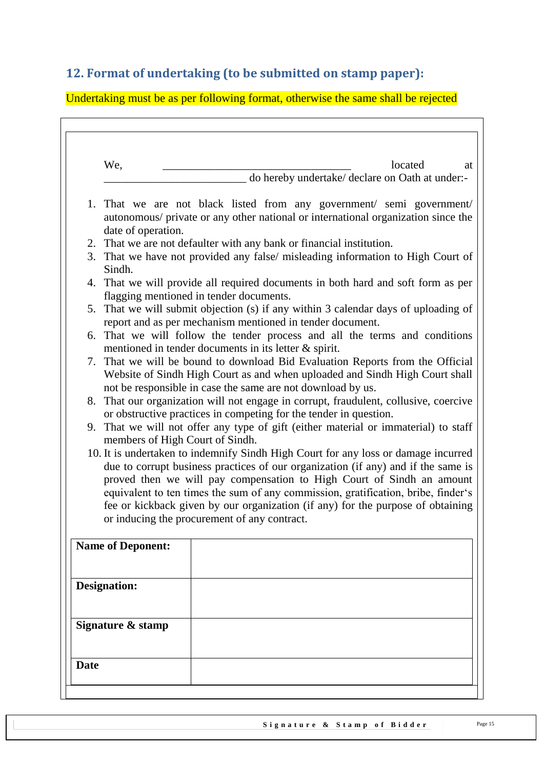# <span id="page-14-0"></span>**12. Format of undertaking (to be submitted on stamp paper):**

Undertaking must be as per following format, otherwise the same shall be rejected

| <b>Designation:</b><br>Signature & stamp                                                           |                                                                                                                                                                                                                                                                                                                                                                                                                                                                                                                                                                                                                                                                                                                                                                                                                                                                                                                                                                                                                                                                                                                                                                                                                                                                                                                                                                                                                                                                                                                                                                                                                                                                                                                                                                                |
|----------------------------------------------------------------------------------------------------|--------------------------------------------------------------------------------------------------------------------------------------------------------------------------------------------------------------------------------------------------------------------------------------------------------------------------------------------------------------------------------------------------------------------------------------------------------------------------------------------------------------------------------------------------------------------------------------------------------------------------------------------------------------------------------------------------------------------------------------------------------------------------------------------------------------------------------------------------------------------------------------------------------------------------------------------------------------------------------------------------------------------------------------------------------------------------------------------------------------------------------------------------------------------------------------------------------------------------------------------------------------------------------------------------------------------------------------------------------------------------------------------------------------------------------------------------------------------------------------------------------------------------------------------------------------------------------------------------------------------------------------------------------------------------------------------------------------------------------------------------------------------------------|
| We,<br>date of operation.<br>Sindh.<br>members of High Court of Sindh.<br><b>Name of Deponent:</b> | located<br>do hereby undertake/ declare on Oath at under:-<br>1. That we are not black listed from any government/ semi government/<br>autonomous/ private or any other national or international organization since the<br>2. That we are not defaulter with any bank or financial institution.<br>3. That we have not provided any false/ misleading information to High Court of<br>4. That we will provide all required documents in both hard and soft form as per<br>flagging mentioned in tender documents.<br>5. That we will submit objection (s) if any within 3 calendar days of uploading of<br>report and as per mechanism mentioned in tender document.<br>6. That we will follow the tender process and all the terms and conditions<br>mentioned in tender documents in its letter $\&$ spirit.<br>7. That we will be bound to download Bid Evaluation Reports from the Official<br>Website of Sindh High Court as and when uploaded and Sindh High Court shall<br>not be responsible in case the same are not download by us.<br>8. That our organization will not engage in corrupt, fraudulent, collusive, coercive<br>or obstructive practices in competing for the tender in question.<br>9. That we will not offer any type of gift (either material or immaterial) to staff<br>10. It is undertaken to indemnify Sindh High Court for any loss or damage incurred<br>due to corrupt business practices of our organization (if any) and if the same is<br>proved then we will pay compensation to High Court of Sindh an amount<br>equivalent to ten times the sum of any commission, gratification, bribe, finder's<br>fee or kickback given by our organization (if any) for the purpose of obtaining<br>or inducing the procurement of any contract. |